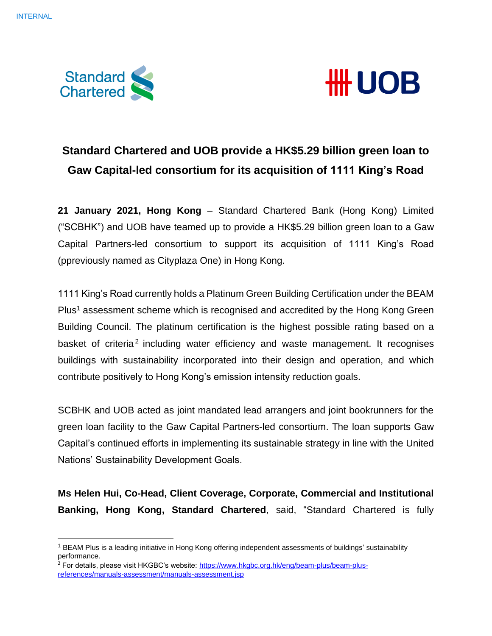



# **Standard Chartered and UOB provide a HK\$5.29 billion green loan to Gaw Capital-led consortium for its acquisition of 1111 King's Road**

**21 January 2021, Hong Kong** – Standard Chartered Bank (Hong Kong) Limited ("SCBHK") and UOB have teamed up to provide a HK\$5.29 billion green loan to a Gaw Capital Partners-led consortium to support its acquisition of 1111 King's Road (ppreviously named as Cityplaza One) in Hong Kong.

1111 King's Road currently holds a Platinum Green Building Certification under the BEAM Plus<sup>1</sup> assessment scheme which is recognised and accredited by the Hong Kong Green Building Council. The platinum certification is the highest possible rating based on a basket of criteria<sup>2</sup> including water efficiency and waste management. It recognises buildings with sustainability incorporated into their design and operation, and which contribute positively to Hong Kong's emission intensity reduction goals.

SCBHK and UOB acted as joint mandated lead arrangers and joint bookrunners for the green loan facility to the Gaw Capital Partners-led consortium. The loan supports Gaw Capital's continued efforts in implementing its sustainable strategy in line with the United Nations' Sustainability Development Goals.

**Ms Helen Hui, Co-Head, Client Coverage, Corporate, Commercial and Institutional Banking, Hong Kong, Standard Chartered**, said, "Standard Chartered is fully

<sup>&</sup>lt;sup>1</sup> BEAM Plus is a leading initiative in Hong Kong offering independent assessments of buildings' sustainability performance.

<sup>&</sup>lt;sup>2</sup> For details, please visit HKGBC's website: [https://www.hkgbc.org.hk/eng/beam-plus/beam-plus](https://www.hkgbc.org.hk/eng/beam-plus/beam-plus-references/manuals-assessment/manuals-assessment.jsp)[references/manuals-assessment/manuals-assessment.jsp](https://www.hkgbc.org.hk/eng/beam-plus/beam-plus-references/manuals-assessment/manuals-assessment.jsp)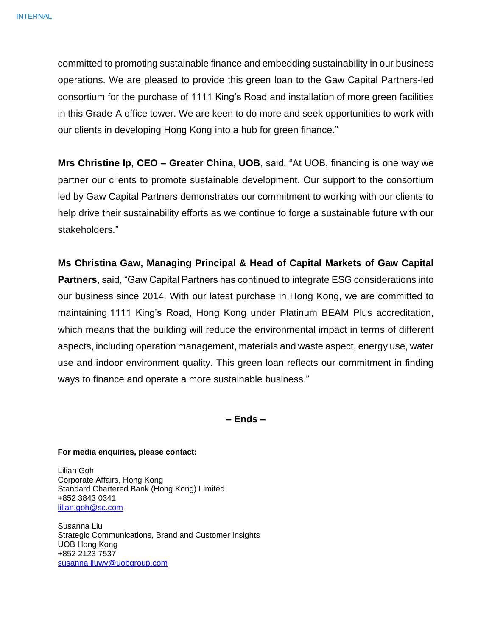committed to promoting sustainable finance and embedding sustainability in our business operations. We are pleased to provide this green loan to the Gaw Capital Partners-led consortium for the purchase of 1111 King's Road and installation of more green facilities in this Grade-A office tower. We are keen to do more and seek opportunities to work with our clients in developing Hong Kong into a hub for green finance."

**Mrs Christine Ip, CEO – Greater China, UOB**, said, "At UOB, financing is one way we partner our clients to promote sustainable development. Our support to the consortium led by Gaw Capital Partners demonstrates our commitment to working with our clients to help drive their sustainability efforts as we continue to forge a sustainable future with our stakeholders."

**Ms Christina Gaw, Managing Principal & Head of Capital Markets of Gaw Capital Partners**, said, "Gaw Capital Partners has continued to integrate ESG considerations into our business since 2014. With our latest purchase in Hong Kong, we are committed to maintaining 1111 King's Road, Hong Kong under Platinum BEAM Plus accreditation, which means that the building will reduce the environmental impact in terms of different aspects, including operation management, materials and waste aspect, energy use, water use and indoor environment quality. This green loan reflects our commitment in finding ways to finance and operate a more sustainable business."

**– Ends –**

## **For media enquiries, please contact:**

Lilian Goh Corporate Affairs, Hong Kong Standard Chartered Bank (Hong Kong) Limited +852 3843 0341 [lilian.goh@sc.com](mailto:lilian.goh@sc.com)

Susanna Liu Strategic Communications, Brand and Customer Insights UOB Hong Kong +852 2123 7537 [susanna.liuwy@uobgroup.com](mailto:susanna.liuwy@uobgroup.com)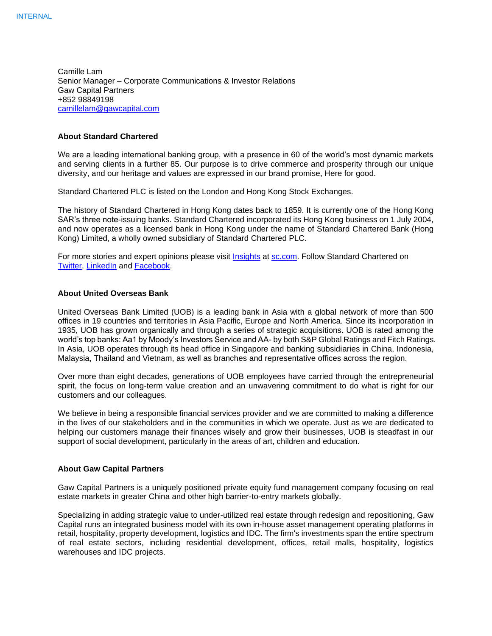Camille Lam Senior Manager – Corporate Communications & Investor Relations Gaw Capital Partners +852 98849198 [camillelam@gawcapital.com](mailto:camillelam@gawcapital.com)

#### **About Standard Chartered**

We are a leading international banking group, with a presence in 60 of the world's most dynamic markets and serving clients in a further 85. Our purpose is to drive commerce and prosperity through our unique diversity, and our heritage and values are expressed in our brand promise, Here for good.

Standard Chartered PLC is listed on the London and Hong Kong Stock Exchanges.

The history of Standard Chartered in Hong Kong dates back to 1859. It is currently one of the Hong Kong SAR's three note-issuing banks. Standard Chartered incorporated its Hong Kong business on 1 July 2004, and now operates as a licensed bank in Hong Kong under the name of Standard Chartered Bank (Hong Kong) Limited, a wholly owned subsidiary of Standard Chartered PLC.

For more stories and expert opinions please visit [Insights](https://www.sc.com/en/insights/) at [sc.com.](https://www.sc.com/en/) Follow Standard Chartered on [Twitter,](https://twitter.com/stanchart) [LinkedIn](http://www.linkedin.com/company/standard-chartered-bank) and [Facebook.](http://www.facebook.com/standardchartered)

### **About United Overseas Bank**

United Overseas Bank Limited (UOB) is a leading bank in Asia with a global network of more than 500 offices in 19 countries and territories in Asia Pacific, Europe and North America. Since its incorporation in 1935, UOB has grown organically and through a series of strategic acquisitions. UOB is rated among the world's top banks: Aa1 by Moody's Investors Service and AA- by both S&P Global Ratings and Fitch Ratings. In Asia, UOB operates through its head office in Singapore and banking subsidiaries in China, Indonesia, Malaysia, Thailand and Vietnam, as well as branches and representative offices across the region.

Over more than eight decades, generations of UOB employees have carried through the entrepreneurial spirit, the focus on long-term value creation and an unwavering commitment to do what is right for our customers and our colleagues.

We believe in being a responsible financial services provider and we are committed to making a difference in the lives of our stakeholders and in the communities in which we operate. Just as we are dedicated to helping our customers manage their finances wisely and grow their businesses, UOB is steadfast in our support of social development, particularly in the areas of art, children and education.

#### **About Gaw Capital Partners**

Gaw Capital Partners is a uniquely positioned private equity fund management company focusing on real estate markets in greater China and other high barrier-to-entry markets globally.

Specializing in adding strategic value to under-utilized real estate through redesign and repositioning, Gaw Capital runs an integrated business model with its own in-house asset management operating platforms in retail, hospitality, property development, logistics and IDC. The firm's investments span the entire spectrum of real estate sectors, including residential development, offices, retail malls, hospitality, logistics warehouses and IDC projects.